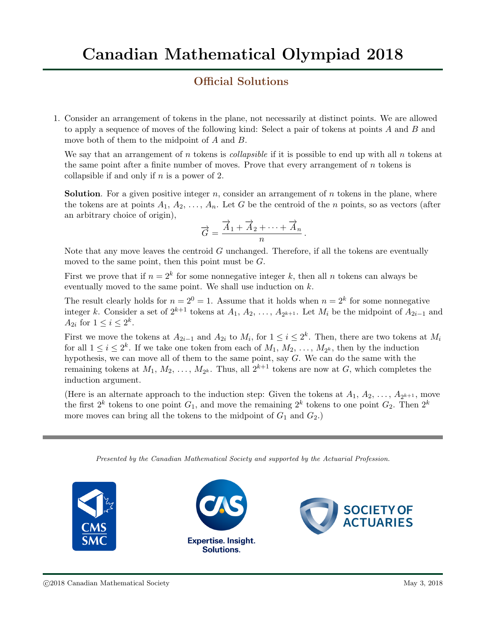## Official Solutions

1. Consider an arrangement of tokens in the plane, not necessarily at distinct points. We are allowed to apply a sequence of moves of the following kind: Select a pair of tokens at points A and B and move both of them to the midpoint of A and B.

We say that an arrangement of n tokens is *collapsible* if it is possible to end up with all n tokens at the same point after a finite number of moves. Prove that every arrangement of  $n$  tokens is collapsible if and only if  $n$  is a power of 2.

**Solution**. For a given positive integer n, consider an arrangement of n tokens in the plane, where the tokens are at points  $A_1, A_2, \ldots, A_n$ . Let G be the centroid of the n points, so as vectors (after an arbitrary choice of origin),

$$
\vec{G} = \frac{\vec{A}_1 + \vec{A}_2 + \dots + \vec{A}_n}{n}.
$$

Note that any move leaves the centroid  $G$  unchanged. Therefore, if all the tokens are eventually moved to the same point, then this point must be  $G$ .

First we prove that if  $n = 2<sup>k</sup>$  for some nonnegative integer k, then all n tokens can always be eventually moved to the same point. We shall use induction on  $k$ .

The result clearly holds for  $n = 2^0 = 1$ . Assume that it holds when  $n = 2^k$  for some nonnegative integer k. Consider a set of  $2^{k+1}$  tokens at  $A_1, A_2, \ldots, A_{2^{k+1}}$ . Let  $M_i$  be the midpoint of  $A_{2i-1}$  and  $A_{2i}$  for  $1 \leq i \leq 2^k$ .

First we move the tokens at  $A_{2i-1}$  and  $A_{2i}$  to  $M_i$ , for  $1 \leq i \leq 2^k$ . Then, there are two tokens at  $M_i$ for all  $1 \leq i \leq 2^k$ . If we take one token from each of  $M_1, M_2, \ldots, M_{2^k}$ , then by the induction hypothesis, we can move all of them to the same point, say  $G$ . We can do the same with the remaining tokens at  $M_1, M_2, \ldots, M_{2^k}$ . Thus, all  $2^{k+1}$  tokens are now at G, which completes the induction argument.

(Here is an alternate approach to the induction step: Given the tokens at  $A_1, A_2, \ldots, A_{2^{k+1}}$ , move the first  $2^k$  tokens to one point  $G_1$ , and move the remaining  $2^k$  tokens to one point  $G_2$ . Then  $2^k$ more moves can bring all the tokens to the midpoint of  $G_1$  and  $G_2$ .)

Presented by the Canadian Mathematical Society and supported by the Actuarial Profession.

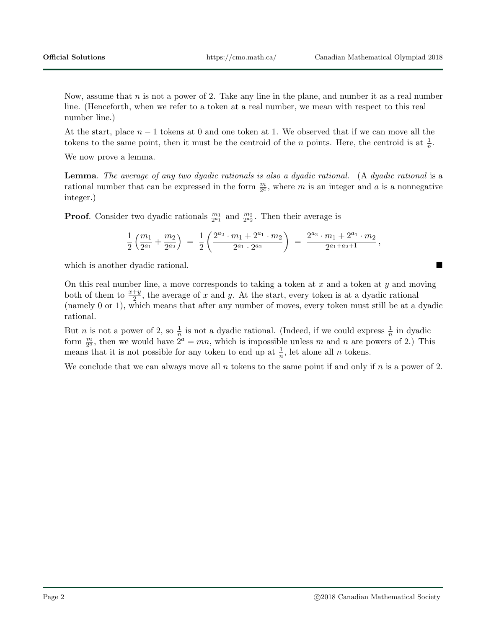Now, assume that  $n$  is not a power of 2. Take any line in the plane, and number it as a real number line. (Henceforth, when we refer to a token at a real number, we mean with respect to this real number line.)

At the start, place  $n-1$  tokens at 0 and one token at 1. We observed that if we can move all the tokens to the same point, then it must be the centroid of the n points. Here, the centroid is at  $\frac{1}{n}$ .

We now prove a lemma.

**Lemma**. The average of any two dyadic rationals is also a dyadic rational. (A dyadic rational is a rational number that can be expressed in the form  $\frac{m}{2^a}$ , where m is an integer and a is a nonnegative integer.)

**Proof.** Consider two dyadic rationals  $\frac{m_1}{2^{a_1}}$  and  $\frac{m_2}{2^{a_2}}$ . Then their average is

$$
\frac{1}{2}\left(\frac{m_1}{2^{a_1}}+\frac{m_2}{2^{a_2}}\right) ~=~ \frac{1}{2}\left(\frac{2^{a_2}\cdot m_1+2^{a_1}\cdot m_2}{2^{a_1}\cdot 2^{a_2}}\right) ~=~ \frac{2^{a_2}\cdot m_1+2^{a_1}\cdot m_2}{2^{a_1+a_2+1}}{\,},
$$

which is another dyadic rational.

On this real number line, a move corresponds to taking a token at x and a token at y and moving both of them to  $\frac{x+y}{2}$ , the average of x and y. At the start, every token is at a dyadic rational (namely 0 or 1), which means that after any number of moves, every token must still be at a dyadic rational.

But *n* is not a power of 2, so  $\frac{1}{n}$  is not a dyadic rational. (Indeed, if we could express  $\frac{1}{n}$  in dyadic form  $\frac{m}{2^a}$ , then we would have  $2^a = mn$ , which is impossible unless m and n are powers of 2.) This means that it is not possible for any token to end up at  $\frac{1}{n}$ , let alone all *n* tokens.

We conclude that we can always move all  $n$  tokens to the same point if and only if  $n$  is a power of 2.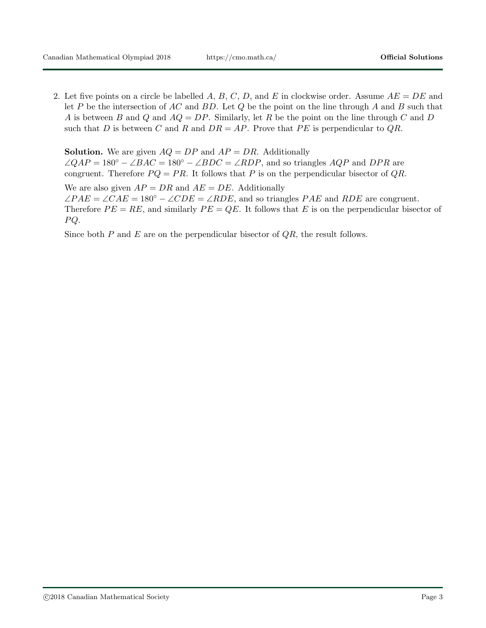2. Let five points on a circle be labelled A, B, C, D, and E in clockwise order. Assume  $AE = DE$  and let P be the intersection of AC and BD. Let Q be the point on the line through A and B such that A is between B and Q and  $AQ = DP$ . Similarly, let R be the point on the line through C and D such that D is between C and R and  $DR = AP$ . Prove that PE is perpendicular to QR.

**Solution.** We are given  $AQ = DP$  and  $AP = DR$ . Additionally  $\angle QAP = 180^{\circ} - \angle BAC = 180^{\circ} - \angle BDC = \angle RDP$ , and so triangles  $AQP$  and  $DPR$  are congruent. Therefore  $PQ = PR$ . It follows that P is on the perpendicular bisector of  $QR$ .

We are also given  $AP = DR$  and  $AE = DE$ . Additionally  $\angle PAE = \angle CAE = 180^{\circ} - \angle CDE = \angle RDE$ , and so triangles PAE and RDE are congruent. Therefore  $PE = RE$ , and similarly  $PE = QE$ . It follows that E is on the perpendicular bisector of  $PQ.$ 

Since both  $P$  and  $E$  are on the perpendicular bisector of  $QR$ , the result follows.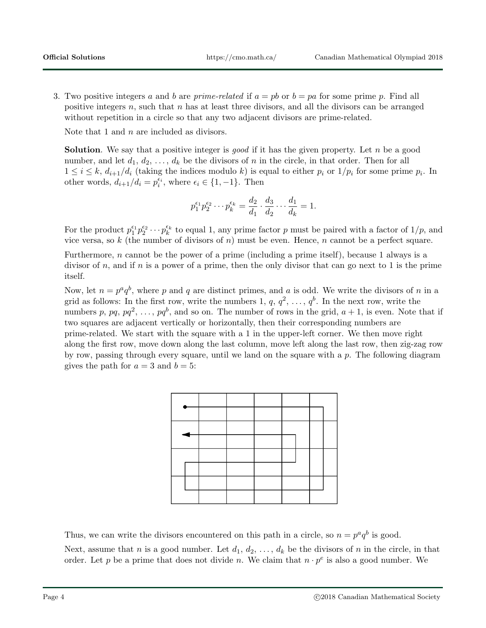3. Two positive integers a and b are prime-related if  $a = pb$  or  $b = pa$  for some prime p. Find all positive integers n, such that n has at least three divisors, and all the divisors can be arranged without repetition in a circle so that any two adjacent divisors are prime-related.

Note that 1 and  $n$  are included as divisors.

**Solution**. We say that a positive integer is *good* if it has the given property. Let n be a good number, and let  $d_1, d_2, \ldots, d_k$  be the divisors of n in the circle, in that order. Then for all  $1 \leq i \leq k$ ,  $d_{i+1}/d_i$  (taking the indices modulo k) is equal to either  $p_i$  or  $1/p_i$  for some prime  $p_i$ . In other words,  $d_{i+1}/d_i = p_i^{\epsilon_i}$ , where  $\epsilon_i \in \{1, -1\}$ . Then

$$
p_1^{\epsilon_1} p_2^{\epsilon_2} \cdots p_k^{\epsilon_k} = \frac{d_2}{d_1} \cdot \frac{d_3}{d_2} \cdots \frac{d_1}{d_k} = 1.
$$

For the product  $p_1^{\epsilon_1} p_2^{\epsilon_2} \cdots p_k^{\epsilon_k}$  to equal 1, any prime factor p must be paired with a factor of  $1/p$ , and vice versa, so k (the number of divisors of n) must be even. Hence, n cannot be a perfect square.

Furthermore, n cannot be the power of a prime (including a prime itself), because 1 always is a divisor of n, and if n is a power of a prime, then the only divisor that can go next to 1 is the prime itself.

Now, let  $n = p^a q^b$ , where p and q are distinct primes, and a is odd. We write the divisors of n in a grid as follows: In the first row, write the numbers 1,  $q, q^2, \ldots, q^b$ . In the next row, write the numbers p, pq,  $pq^2, \ldots, pq^b$ , and so on. The number of rows in the grid,  $a + 1$ , is even. Note that if two squares are adjacent vertically or horizontally, then their corresponding numbers are prime-related. We start with the square with a 1 in the upper-left corner. We then move right along the first row, move down along the last column, move left along the last row, then zig-zag row by row, passing through every square, until we land on the square with a  $p$ . The following diagram gives the path for  $a = 3$  and  $b = 5$ :



Thus, we can write the divisors encountered on this path in a circle, so  $n = p^a q^b$  is good. Next, assume that n is a good number. Let  $d_1, d_2, \ldots, d_k$  be the divisors of n in the circle, in that order. Let p be a prime that does not divide n. We claim that  $n \cdot p^e$  is also a good number. We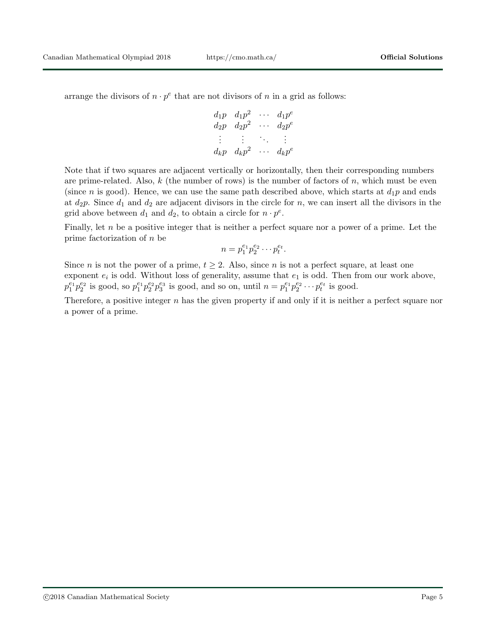arrange the divisors of  $n \cdot p^e$  that are not divisors of n in a grid as follows:

$$
d_1p \quad d_1p^2 \quad \cdots \quad d_1p^e
$$
  
\n
$$
d_2p \quad d_2p^2 \quad \cdots \quad d_2p^e
$$
  
\n
$$
\vdots \quad \vdots \quad \cdots \quad \vdots
$$
  
\n
$$
d_kp \quad d_kp^2 \quad \cdots \quad d_kp^e
$$

Note that if two squares are adjacent vertically or horizontally, then their corresponding numbers are prime-related. Also,  $k$  (the number of rows) is the number of factors of  $n$ , which must be even (since n is good). Hence, we can use the same path described above, which starts at  $d_1p$  and ends at  $d_2p$ . Since  $d_1$  and  $d_2$  are adjacent divisors in the circle for n, we can insert all the divisors in the grid above between  $d_1$  and  $d_2$ , to obtain a circle for  $n \cdot p^e$ .

Finally, let n be a positive integer that is neither a perfect square nor a power of a prime. Let the prime factorization of n be

$$
n=p_1^{e_1}p_2^{e_2}\cdots p_t^{e_t}.
$$

Since *n* is not the power of a prime,  $t \geq 2$ . Also, since *n* is not a perfect square, at least one exponent  $e_i$  is odd. Without loss of generality, assume that  $e_1$  is odd. Then from our work above,  $p_1^{e_1} p_2^{e_2}$  is good, so  $p_1^{e_1} p_2^{e_2} p_3^{e_3}$  is good, and so on, until  $n = p_1^{e_1} p_2^{e_2} \cdots p_t^{e_t}$  is good.

Therefore, a positive integer  $n$  has the given property if and only if it is neither a perfect square nor a power of a prime.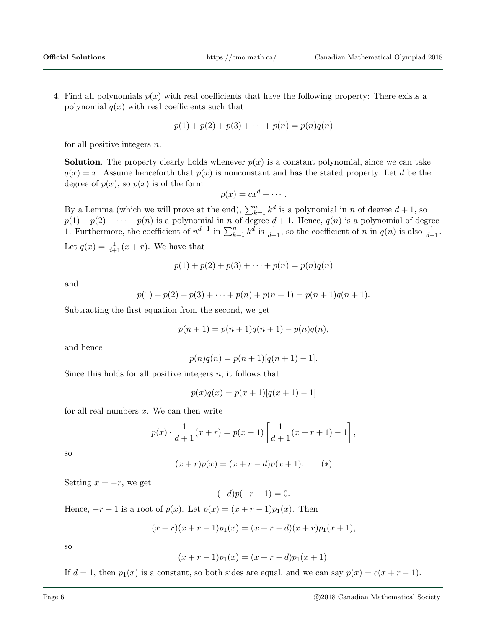4. Find all polynomials  $p(x)$  with real coefficients that have the following property: There exists a polynomial  $q(x)$  with real coefficients such that

$$
p(1) + p(2) + p(3) + \cdots + p(n) = p(n)q(n)
$$

for all positive integers  $n$ .

**Solution**. The property clearly holds whenever  $p(x)$  is a constant polynomial, since we can take  $q(x) = x$ . Assume henceforth that  $p(x)$  is nonconstant and has the stated property. Let d be the degree of  $p(x)$ , so  $p(x)$  is of the form

$$
p(x) = cx^d + \cdots.
$$

By a Lemma (which we will prove at the end),  $\sum_{k=1}^{n} k^d$  is a polynomial in n of degree  $d+1$ , so  $p(1) + p(2) + \cdots + p(n)$  is a polynomial in n of degree  $d+1$ . Hence,  $q(n)$  is a polynomial of degree 1. Furthermore, the coefficient of  $n^{d+1}$  in  $\sum_{k=1}^{n} k^d$  is  $\frac{1}{d+1}$ , so the coefficient of n in  $q(n)$  is also  $\frac{1}{d+1}$ . Let  $q(x) = \frac{1}{d+1}(x+r)$ . We have that

$$
p(1) + p(2) + p(3) + \cdots + p(n) = p(n)q(n)
$$

and

$$
p(1) + p(2) + p(3) + \cdots + p(n) + p(n+1) = p(n+1)q(n+1).
$$

Subtracting the first equation from the second, we get

$$
p(n + 1) = p(n + 1)q(n + 1) - p(n)q(n),
$$

and hence

$$
p(n)q(n) = p(n+1)[q(n+1) - 1].
$$

Since this holds for all positive integers  $n$ , it follows that

$$
p(x)q(x) = p(x+1)[q(x+1) - 1]
$$

for all real numbers  $x$ . We can then write

$$
p(x) \cdot \frac{1}{d+1}(x+r) = p(x+1) \left[ \frac{1}{d+1}(x+r+1) - 1 \right],
$$

so

$$
(x+r)p(x) = (x+r-d)p(x+1).
$$
 (\*)

Setting  $x = -r$ , we get

$$
(-d)p(-r+1) = 0.
$$

Hence,  $-r+1$  is a root of  $p(x)$ . Let  $p(x) = (x + r - 1)p_1(x)$ . Then

$$
(x+r)(x+r-1)p_1(x) = (x+r-d)(x+r)p_1(x+1),
$$

so

$$
(x + r - 1)p_1(x) = (x + r - d)p_1(x + 1).
$$

If  $d = 1$ , then  $p_1(x)$  is a constant, so both sides are equal, and we can say  $p(x) = c(x + r - 1)$ .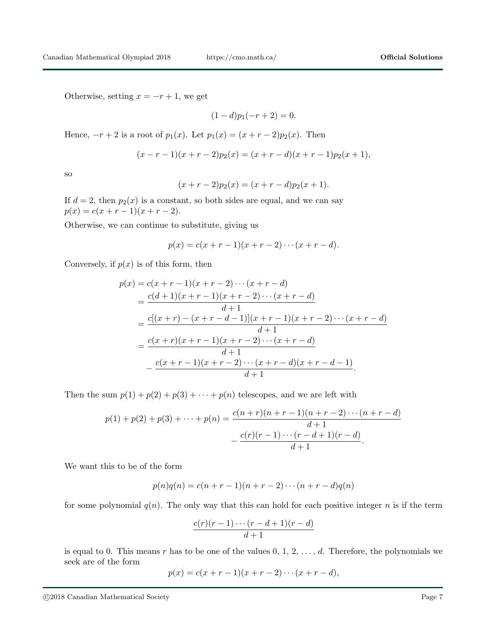Otherwise, setting  $x = -r + 1$ , we get

$$
(1-d)p_1(-r+2) = 0.
$$

Hence,  $-r+2$  is a root of  $p_1(x)$ . Let  $p_1(x) = (x + r - 2)p_2(x)$ . Then

$$
(x - r - 1)(x + r - 2)p_2(x) = (x + r - d)(x + r - 1)p_2(x + 1),
$$

so

$$
(x + r - 2)p_2(x) = (x + r - d)p_2(x + 1).
$$

If  $d = 2$ , then  $p_2(x)$  is a constant, so both sides are equal, and we can say  $p(x) = c(x + r - 1)(x + r - 2).$ 

Otherwise, we can continue to substitute, giving us

$$
p(x) = c(x + r - 1)(x + r - 2) \cdots (x + r - d).
$$

Conversely, if  $p(x)$  is of this form, then

$$
p(x) = c(x + r - 1)(x + r - 2) \cdots (x + r - d)
$$
  
= 
$$
\frac{c(d+1)(x + r - 1)(x + r - 2) \cdots (x + r - d)}{d+1}
$$
  
= 
$$
\frac{c[(x + r) - (x + r - d - 1)](x + r - 1)(x + r - 2) \cdots (x + r - d)}{d+1}
$$
  
= 
$$
\frac{c(x + r)(x + r - 1)(x + r - 2) \cdots (x + r - d)}{d+1}
$$
  
= 
$$
\frac{c(x + r - 1)(x + r - 2) \cdots (x + r - d)(x + r - d - 1)}{d+1}.
$$

Then the sum  $p(1) + p(2) + p(3) + \cdots + p(n)$  telescopes, and we are left with

$$
p(1) + p(2) + p(3) + \dots + p(n) = \frac{c(n+r)(n+r-1)(n+r-2)\cdots(n+r-d)}{d+1}
$$

$$
-\frac{c(r)(r-1)\cdots(r-d+1)(r-d)}{d+1}.
$$

We want this to be of the form

$$
p(n)q(n) = c(n + r - 1)(n + r - 2) \cdots (n + r - d)q(n)
$$

for some polynomial  $q(n)$ . The only way that this can hold for each positive integer n is if the term

$$
\frac{c(r)(r-1)\cdots(r-d+1)(r-d)}{d+1}
$$

is equal to 0. This means r has to be one of the values  $0, 1, 2, \ldots, d$ . Therefore, the polynomials we seek are of the form

$$
p(x) = c(x + r - 1)(x + r - 2) \cdots (x + r - d),
$$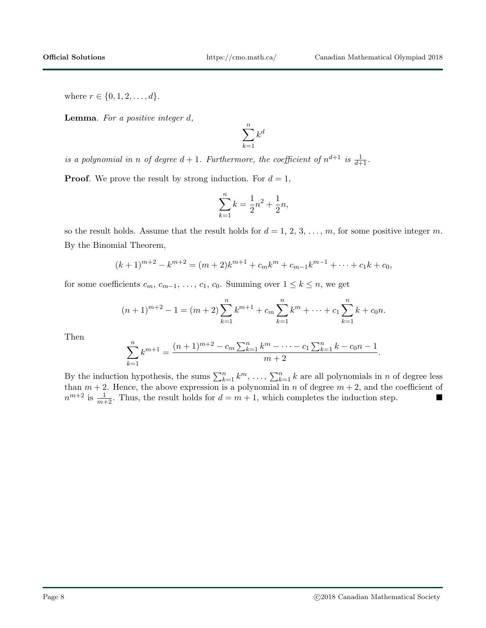where  $r \in \{0, 1, 2, \ldots, d\}.$ 

**Lemma.** For a positive integer  $d$ ,

$$
\sum_{k=1}^{n} k^d
$$

is a polynomial in n of degree  $d+1$ . Furthermore, the coefficient of  $n^{d+1}$  is  $\frac{1}{d+1}$ .

**Proof.** We prove the result by strong induction. For  $d = 1$ ,

$$
\sum_{k=1}^{n} k = \frac{1}{2}n^2 + \frac{1}{2}n,
$$

so the result holds. Assume that the result holds for  $d = 1, 2, 3, \ldots, m$ , for some positive integer m. By the Binomial Theorem,

$$
(k+1)^{m+2} - k^{m+2} = (m+2)k^{m+1} + c_m k^m + c_{m-1} k^{m-1} + \dots + c_1 k + c_0,
$$

for some coefficients  $c_m, c_{m-1}, \ldots, c_1, c_0$ . Summing over  $1 \leq k \leq n$ , we get

$$
(n+1)^{m+2} - 1 = (m+2) \sum_{k=1}^{n} k^{m+1} + c_m \sum_{k=1}^{n} k^m + \dots + c_1 \sum_{k=1}^{n} k + c_0 n.
$$

Then

$$
\sum_{k=1}^{n} k^{m+1} = \frac{(n+1)^{m+2} - c_m \sum_{k=1}^{n} k^m - \dots - c_1 \sum_{k=1}^{n} k - c_0 n - 1}{m+2}.
$$

By the induction hypothesis, the sums  $\sum_{k=1}^{n} k^{m}$ , ...,  $\sum_{k=1}^{n} k$  are all polynomials in *n* of degree less than  $m + 2$ . Hence, the above expression is a polynomial in n of degree  $m + 2$ , and the coefficient of  $n^{m+2}$  is  $\frac{1}{m+2}$ . Thus, the result holds for  $d = m + 1$ , which completes the induction step.